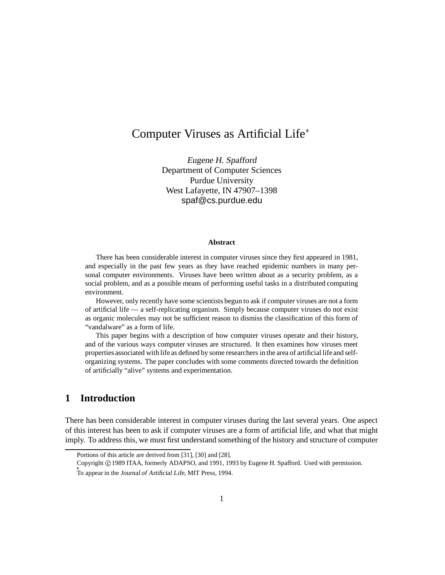# Computer Viruses as Artificial Life

Eugene H. Spafford Department of Computer Sciences Purdue University West Lafayette, IN 47907–1398 spaf@cs.purdue.edu

#### **Abstract**

There has been considerable interest in computer viruses since they first appeared in 1981, and especially in the past few years as they have reached epidemic numbers in many personal computer environments. Viruses have been written about as a security problem, as a social problem, and as a possible means of performing useful tasks in a distributed computing environment.

However, only recently have some scientists begun to ask if computer viruses are not a form of artificial life — a self-replicating organism. Simply because computer viruses do not exist as organic molecules may not be sufficient reason to dismiss the classification of this form of "vandalware" as a form of life.

This paper begins with a description of how computer viruses operate and their history, and of the various ways computer viruses are structured. It then examines how viruses meet properties associated with life as defined by some researchers in the area of artificial life and selforganizing systems. The paper concludes with some comments directed towards the definition of artificially "alive" systems and experimentation.

## **1 Introduction**

There has been considerable interest in computer viruses during the last several years. One aspect of this interest has been to ask if computer viruses are a form of artificial life, and what that might imply. To address this, we must first understand something of the history and structure of computer

Portions of this article are derived from [31], [30] and [28].

Copyright © 1989 ITAA, formerly ADAPSO, and 1991, 1993 by Eugene H. Spafford. Used with permission.

To appear in the Journal of Artificial Life, MIT Press, 1994.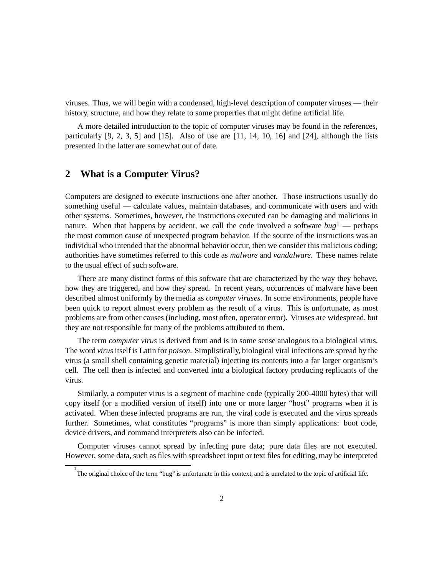viruses. Thus, we will begin with a condensed, high-level description of computer viruses — their history, structure, and how they relate to some properties that might define artificial life.

A more detailed introduction to the topic of computer viruses may be found in the references, particularly  $[9, 2, 3, 5]$  and  $[15]$ . Also of use are  $[11, 14, 10, 16]$  and  $[24]$ , although the lists presented in the latter are somewhat out of date.

## **2 What is a Computer Virus?**

Computers are designed to execute instructions one after another. Those instructions usually do something useful — calculate values, maintain databases, and communicate with users and with other systems. Sometimes, however, the instructions executed can be damaging and malicious in nature. When that happens by accident, we call the code involved a software  $bug<sup>1</sup>$  — perhaps the most common cause of unexpected program behavior. If the source of the instructions was an individual who intended that the abnormal behavior occur, then we consider this malicious coding; authorities have sometimes referred to this code as *malware* and *vandalware*. These names relate to the usual effect of such software.

There are many distinct forms of this software that are characterized by the way they behave, how they are triggered, and how they spread. In recent years, occurrences of malware have been described almost uniformly by the media as *computer viruses*. In some environments, people have been quick to report almost every problem as the result of a virus. This is unfortunate, as most problems are from other causes (including, most often, operator error). Viruses are widespread, but they are not responsible for many of the problems attributed to them.

The term *computer virus* is derived from and is in some sense analogous to a biological virus. The word *virus* itself is Latin for *poison*. Simplistically, biological viral infections are spread by the virus (a small shell containing genetic material) injecting its contents into a far larger organism's cell. The cell then is infected and converted into a biological factory producing replicants of the virus.

Similarly, a computer virus is a segment of machine code (typically 200-4000 bytes) that will copy itself (or a modified version of itself) into one or more larger "host" programs when it is activated. When these infected programs are run, the viral code is executed and the virus spreads further. Sometimes, what constitutes "programs" is more than simply applications: boot code, device drivers, and command interpreters also can be infected.

Computer viruses cannot spread by infecting pure data; pure data files are not executed. However, some data, such as files with spreadsheet input or text files for editing, may be interpreted

<sup>&</sup>lt;sup>1</sup> The original choice of the term "bug" is unfortunate in this context, and is unrelated to the topic of artificial life.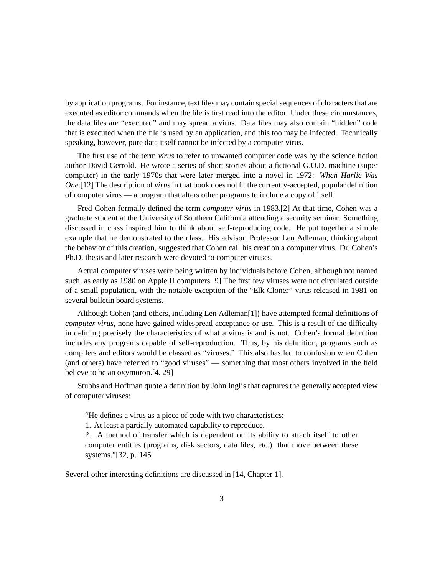by application programs. For instance, text files may contain specialsequences of characters that are executed as editor commands when the file is first read into the editor. Under these circumstances, the data files are "executed" and may spread a virus. Data files may also contain "hidden" code that is executed when the file is used by an application, and this too may be infected. Technically speaking, however, pure data itself cannot be infected by a computer virus.

The first use of the term *virus* to refer to unwanted computer code was by the science fiction author David Gerrold. He wrote a series of short stories about a fictional G.O.D. machine (super computer) in the early 1970s that were later merged into a novel in 1972: *When Harlie Was One*.[12] The description of *virus*in that book does not fit the currently-accepted, popular definition of computer virus — a program that alters other programs to include a copy of itself.

Fred Cohen formally defined the term *computer virus* in 1983.[2] At that time, Cohen was a graduate student at the University of Southern California attending a security seminar. Something discussed in class inspired him to think about self-reproducing code. He put together a simple example that he demonstrated to the class. His advisor, Professor Len Adleman, thinking about the behavior of this creation, suggested that Cohen call his creation a computer virus. Dr. Cohen's Ph.D. thesis and later research were devoted to computer viruses.

Actual computer viruses were being written by individuals before Cohen, although not named such, as early as 1980 on Apple II computers.[9] The first few viruses were not circulated outside of a small population, with the notable exception of the "Elk Cloner" virus released in 1981 on several bulletin board systems.

Although Cohen (and others, including Len Adleman[1]) have attempted formal definitions of *computer virus*, none have gained widespread acceptance or use. This is a result of the difficulty in defining precisely the characteristics of what a virus is and is not. Cohen's formal definition includes any programs capable of self-reproduction. Thus, by his definition, programs such as compilers and editors would be classed as "viruses." This also has led to confusion when Cohen (and others) have referred to "good viruses" — something that most others involved in the field believe to be an oxymoron.[4, 29]

Stubbs and Hoffman quote a definition by John Inglis that captures the generally accepted view of computer viruses:

"He defines a virus as a piece of code with two characteristics:

1. At least a partially automated capability to reproduce.

2. A method of transfer which is dependent on its ability to attach itself to other computer entities (programs, disk sectors, data files, etc.) that move between these systems."[32, p. 145]

Several other interesting definitions are discussed in [14, Chapter 1].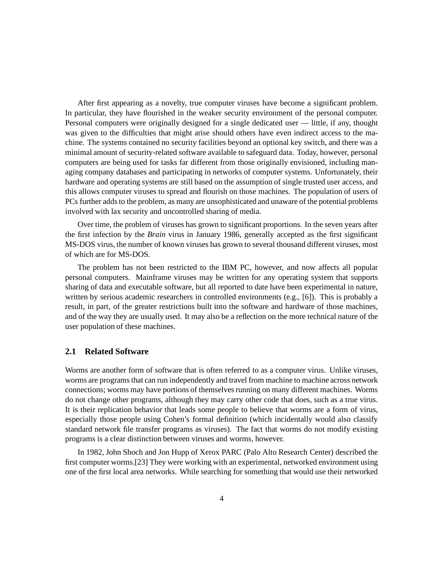After first appearing as a novelty, true computer viruses have become a significant problem. In particular, they have flourished in the weaker security environment of the personal computer. Personal computers were originally designed for a single dedicated user — little, if any, thought was given to the difficulties that might arise should others have even indirect access to the machine. The systems contained no security facilities beyond an optional key switch, and there was a minimal amount of security-related software available to safeguard data. Today, however, personal computers are being used for tasks far different from those originally envisioned, including managing company databases and participating in networks of computer systems. Unfortunately, their hardware and operating systems are still based on the assumption of single trusted user access, and this allows computer viruses to spread and flourish on those machines. The population of users of PCs further adds to the problem, as many are unsophisticated and unaware of the potential problems involved with lax security and uncontrolled sharing of media.

Over time, the problem of viruses has grown to significant proportions. In the seven years after the first infection by the *Brain* virus in January 1986, generally accepted as the first significant MS-DOS virus, the number of known viruses has grown to several thousand different viruses, most of which are for MS-DOS.

The problem has not been restricted to the IBM PC, however, and now affects all popular personal computers. Mainframe viruses may be written for any operating system that supports sharing of data and executable software, but all reported to date have been experimental in nature, written by serious academic researchers in controlled environments (e.g., [6]). This is probably a result, in part, of the greater restrictions built into the software and hardware of those machines, and of the way they are usually used. It may also be a reflection on the more technical nature of the user population of these machines.

### **2.1 Related Software**

Worms are another form of software that is often referred to as a computer virus. Unlike viruses, worms are programs that can run independently and travel from machine to machine across network connections; worms may have portions of themselvesrunning on many different machines. Worms do not change other programs, although they may carry other code that does, such as a true virus. It is their replication behavior that leads some people to believe that worms are a form of virus, especially those people using Cohen's formal definition (which incidentally would also classify standard network file transfer programs as viruses). The fact that worms do not modify existing programs is a clear distinction between viruses and worms, however.

In 1982, John Shoch and Jon Hupp of Xerox PARC (Palo Alto Research Center) described the first computer worms.[23] They were working with an experimental, networked environment using one of the first local area networks. While searching for something that would use their networked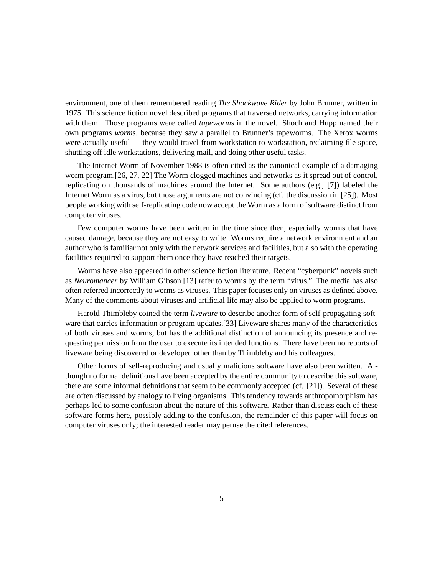environment, one of them remembered reading *The Shockwave Rider* by John Brunner, written in 1975. This science fiction novel described programs that traversed networks, carrying information with them. Those programs were called *tapeworms* in the novel. Shoch and Hupp named their own programs *worms*, because they saw a parallel to Brunner's tapeworms. The Xerox worms were actually useful — they would travel from workstation to workstation, reclaiming file space, shutting off idle workstations, delivering mail, and doing other useful tasks.

The Internet Worm of November 1988 is often cited as the canonical example of a damaging worm program.[26, 27, 22] The Worm clogged machines and networks as it spread out of control, replicating on thousands of machines around the Internet. Some authors  $(e.g., [7])$  labeled the Internet Worm as a virus, but those arguments are not convincing (cf. the discussion in [25]). Most people working with self-replicating code now accept the Worm as a form of software distinct from computer viruses.

Few computer worms have been written in the time since then, especially worms that have caused damage, because they are not easy to write. Worms require a network environment and an author who is familiar not only with the network services and facilities, but also with the operating facilities required to support them once they have reached their targets.

Worms have also appeared in other science fiction literature. Recent "cyberpunk" novels such as *Neuromancer* by William Gibson [13] refer to worms by the term "virus." The media has also often referred incorrectly to worms as viruses. This paper focuses only on viruses as defined above. Many of the comments about viruses and artificial life may also be applied to worm programs.

Harold Thimbleby coined the term *liveware* to describe another form of self-propagating software that carries information or program updates.[33] Liveware shares many of the characteristics of both viruses and worms, but has the additional distinction of announcing its presence and requesting permission from the user to execute its intended functions. There have been no reports of liveware being discovered or developed other than by Thimbleby and his colleagues.

Other forms of self-reproducing and usually malicious software have also been written. Although no formal definitions have been accepted by the entire community to describe this software, there are some informal definitions that seem to be commonly accepted (cf. [21]). Several of these are often discussed by analogy to living organisms. This tendency towards anthropomorphism has perhaps led to some confusion about the nature of this software. Rather than discuss each of these software forms here, possibly adding to the confusion, the remainder of this paper will focus on computer viruses only; the interested reader may peruse the cited references.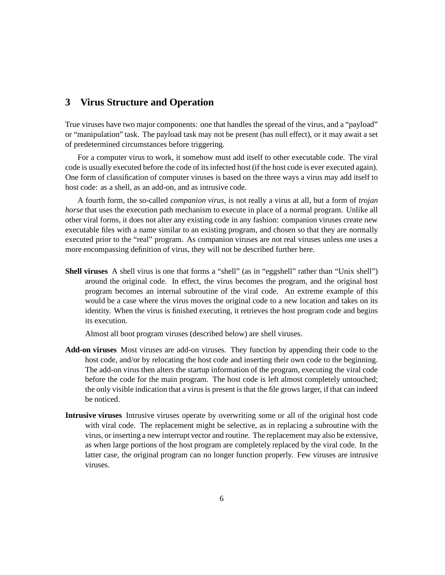## **3 Virus Structure and Operation**

True viruses have two major components: one that handles the spread of the virus, and a "payload" or "manipulation" task. The payload task may not be present (has null effect), or it may await a set of predetermined circumstances before triggering.

For a computer virus to work, it somehow must add itself to other executable code. The viral code is usually executed before the code of itsinfected host (if the host code is ever executed again). One form of classification of computer viruses is based on the three ways a virus may add itself to host code: as a shell, as an add-on, and as intrusive code.

A fourth form, the so-called *companion virus*, is not really a virus at all, but a form of *trojan horse* that uses the execution path mechanism to execute in place of a normal program. Unlike all other viral forms, it does not alter any existing code in any fashion: companion viruses create new executable files with a name similar to an existing program, and chosen so that they are normally executed prior to the "real" program. As companion viruses are not real viruses unless one uses a more encompassing definition of virus, they will not be described further here.

**Shell viruses** A shell virus is one that forms a "shell" (as in "eggshell" rather than "Unix shell") around the original code. In effect, the virus becomes the program, and the original host program becomes an internal subroutine of the viral code. An extreme example of this would be a case where the virus moves the original code to a new location and takes on its identity. When the virus is finished executing, it retrieves the host program code and begins its execution.

Almost all boot program viruses (described below) are shell viruses.

- **Add-on viruses** Most viruses are add-on viruses. They function by appending their code to the host code, and/or by relocating the host code and inserting their own code to the beginning. The add-on virus then alters the startup information of the program, executing the viral code before the code for the main program. The host code is left almost completely untouched; the only visible indication that a virus is present is that the file grows larger, if that can indeed be noticed.
- **Intrusive viruses** Intrusive viruses operate by overwriting some or all of the original host code with viral code. The replacement might be selective, as in replacing a subroutine with the virus, or inserting a new interrupt vector and routine. The replacement may also be extensive, as when large portions of the host program are completely replaced by the viral code. In the latter case, the original program can no longer function properly. Few viruses are intrusive viruses.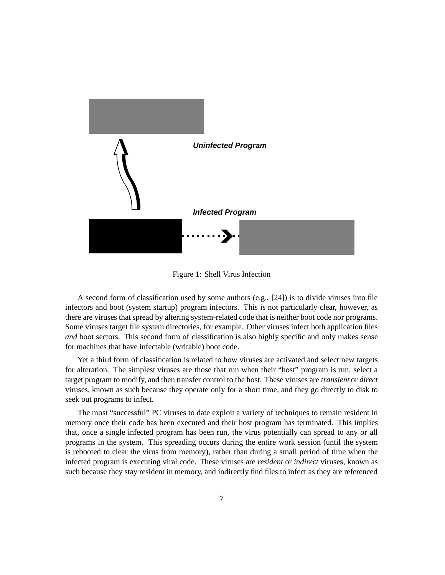

Figure 1: Shell Virus Infection

A second form of classification used by some authors (e.g., [24]) is to divide viruses into file infectors and boot (system startup) program infectors. This is not particularly clear, however, as there are viruses that spread by altering system-related code that is neither boot code nor programs. Some viruses target file system directories, for example. Other viruses infect both application files *and* boot sectors. This second form of classification is also highly specific and only makes sense for machines that have infectable (writable) boot code.

Yet a third form of classification is related to how viruses are activated and select new targets for alteration. The simplest viruses are those that run when their "host" program is run, select a target program to modify, and then transfer control to the host. These viruses are *transient* or *direct* viruses, known as such because they operate only for a short time, and they go directly to disk to seek out programs to infect.

The most "successful" PC viruses to date exploit a variety of techniques to remain resident in memory once their code has been executed and their host program has terminated. This implies that, once a single infected program has been run, the virus potentially can spread to any or all programs in the system. This spreading occurs during the entire work session (until the system is rebooted to clear the virus from memory), rather than during a small period of time when the infected program is executing viral code. These viruses are *resident* or *indirect* viruses, known as such because they stay resident in memory, and indirectly find files to infect as they are referenced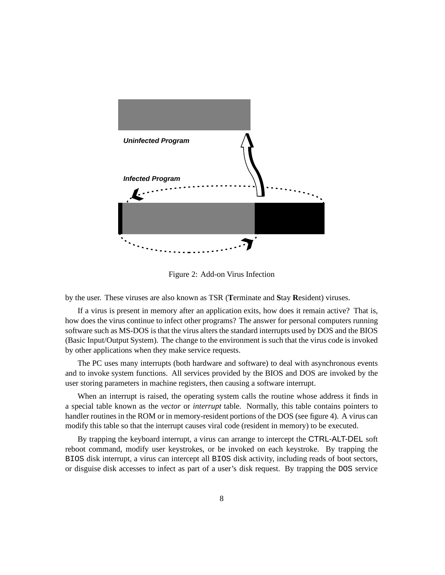

Figure 2: Add-on Virus Infection

by the user. These viruses are also known as TSR (**T**erminate and **S**tay **R**esident) viruses.

If a virus is present in memory after an application exits, how does it remain active? That is, how does the virus continue to infect other programs? The answer for personal computers running software such as MS-DOS is that the virus alters the standard interrupts used by DOS and the BIOS (Basic Input/Output System). The change to the environment is such that the virus code is invoked by other applications when they make service requests.

The PC uses many interrupts (both hardware and software) to deal with asynchronous events and to invoke system functions. All services provided by the BIOS and DOS are invoked by the user storing parameters in machine registers, then causing a software interrupt.

When an interrupt is raised, the operating system calls the routine whose address it finds in a special table known as the *vector* or *interrupt* table. Normally, this table contains pointers to handler routines in the ROM or in memory-resident portions of the DOS (see figure 4). A virus can modify this table so that the interrupt causes viral code (resident in memory) to be executed.

By trapping the keyboard interrupt, a virus can arrange to intercept the CTRL-ALT-DEL soft reboot command, modify user keystrokes, or be invoked on each keystroke. By trapping the BIOS disk interrupt, a virus can intercept all BIOS disk activity, including reads of boot sectors, or disguise disk accesses to infect as part of a user's disk request. By trapping the DOS service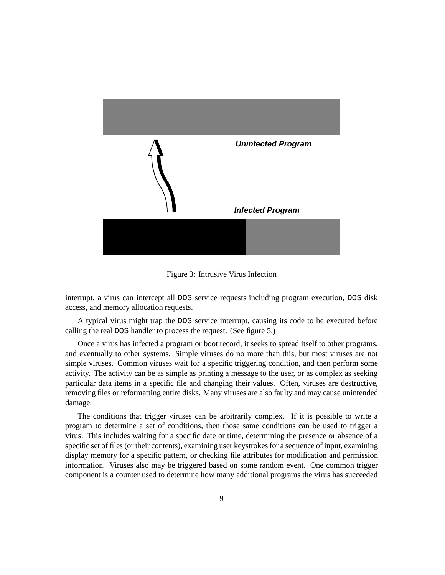

Figure 3: Intrusive Virus Infection

interrupt, a virus can intercept all DOS service requests including program execution, DOS disk access, and memory allocation requests.

A typical virus might trap the DOS service interrupt, causing its code to be executed before calling the real DOS handler to process the request. (See figure 5.)

Once a virus has infected a program or boot record, it seeks to spread itself to other programs, and eventually to other systems. Simple viruses do no more than this, but most viruses are not simple viruses. Common viruses wait for a specific triggering condition, and then perform some activity. The activity can be as simple as printing a message to the user, or as complex as seeking particular data items in a specific file and changing their values. Often, viruses are destructive, removing files or reformatting entire disks. Many viruses are also faulty and may cause unintended damage.

The conditions that trigger viruses can be arbitrarily complex. If it is possible to write a program to determine a set of conditions, then those same conditions can be used to trigger a virus. This includes waiting for a specific date or time, determining the presence or absence of a specific set of files (or their contents), examining user keystrokes for a sequence of input, examining display memory for a specific pattern, or checking file attributes for modification and permission information. Viruses also may be triggered based on some random event. One common trigger component is a counter used to determine how many additional programs the virus has succeeded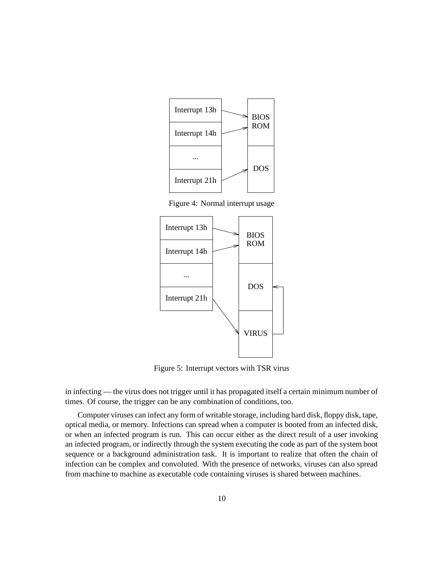

Figure 4: Normal interrupt usage



Figure 5: Interrupt vectors with TSR virus

in infecting — the virus does not trigger until it has propagated itself a certain minimum number of times. Of course, the trigger can be any combination of conditions, too.

Computer viruses can infect any form of writable storage, including hard disk, floppy disk, tape, optical media, or memory. Infections can spread when a computer is booted from an infected disk, or when an infected program is run. This can occur either as the direct result of a user invoking an infected program, or indirectly through the system executing the code as part of the system boot sequence or a background administration task. It is important to realize that often the chain of infection can be complex and convoluted. With the presence of networks, viruses can also spread from machine to machine as executable code containing viruses is shared between machines.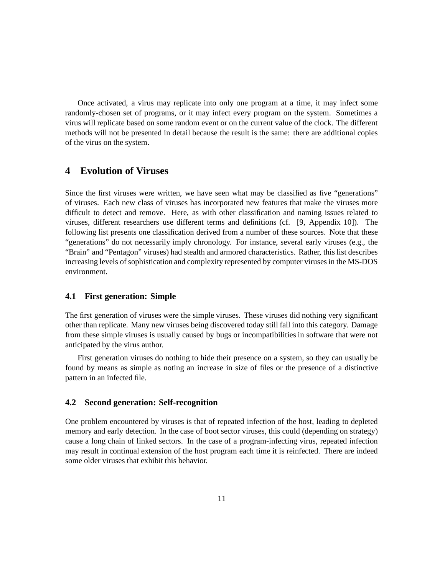Once activated, a virus may replicate into only one program at a time, it may infect some randomly-chosen set of programs, or it may infect every program on the system. Sometimes a virus will replicate based on some random event or on the current value of the clock. The different methods will not be presented in detail because the result is the same: there are additional copies of the virus on the system.

## **4 Evolution of Viruses**

Since the first viruses were written, we have seen what may be classified as five "generations" of viruses. Each new class of viruses has incorporated new features that make the viruses more difficult to detect and remove. Here, as with other classification and naming issues related to viruses, different researchers use different terms and definitions (cf. [9, Appendix 10]). The following list presents one classification derived from a number of these sources. Note that these "generations" do not necessarily imply chronology. For instance, several early viruses (e.g., the "Brain" and "Pentagon" viruses) had stealth and armored characteristics. Rather, this list describes increasing levels of sophistication and complexity represented by computer viruses in the MS-DOS environment.

#### **4.1 First generation: Simple**

The first generation of viruses were the simple viruses. These viruses did nothing very significant other than replicate. Many new viruses being discovered today still fall into this category. Damage from these simple viruses is usually caused by bugs or incompatibilities in software that were not anticipated by the virus author.

First generation viruses do nothing to hide their presence on a system, so they can usually be found by means as simple as noting an increase in size of files or the presence of a distinctive pattern in an infected file.

## **4.2 Second generation: Self-recognition**

One problem encountered by viruses is that of repeated infection of the host, leading to depleted memory and early detection. In the case of boot sector viruses, this could (depending on strategy) cause a long chain of linked sectors. In the case of a program-infecting virus, repeated infection may result in continual extension of the host program each time it is reinfected. There are indeed some older viruses that exhibit this behavior.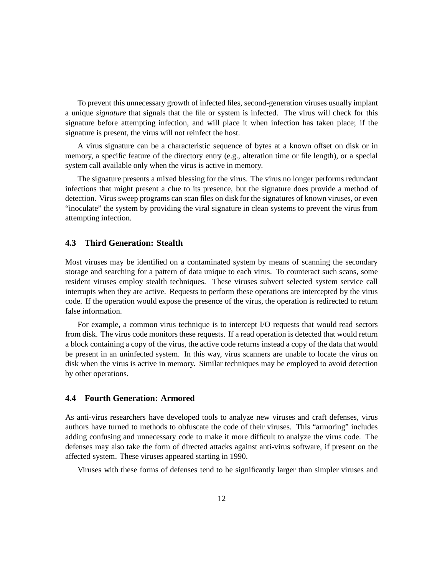To prevent this unnecessary growth of infected files, second-generation viruses usually implant a unique *signature* that signals that the file or system is infected. The virus will check for this signature before attempting infection, and will place it when infection has taken place; if the signature is present, the virus will not reinfect the host.

A virus signature can be a characteristic sequence of bytes at a known offset on disk or in memory, a specific feature of the directory entry (e.g., alteration time or file length), or a special system call available only when the virus is active in memory.

The signature presents a mixed blessing for the virus. The virus no longer performs redundant infections that might present a clue to its presence, but the signature does provide a method of detection. Virus sweep programs can scan files on disk for the signatures of known viruses, or even "inoculate" the system by providing the viral signature in clean systems to prevent the virus from attempting infection.

## **4.3 Third Generation: Stealth**

Most viruses may be identified on a contaminated system by means of scanning the secondary storage and searching for a pattern of data unique to each virus. To counteract such scans, some resident viruses employ stealth techniques. These viruses subvert selected system service call interrupts when they are active. Requests to perform these operations are intercepted by the virus code. If the operation would expose the presence of the virus, the operation is redirected to return false information.

For example, a common virus technique is to intercept I/O requests that would read sectors from disk. The virus code monitors these requests. If a read operation is detected that would return a block containing a copy of the virus, the active code returns instead a copy of the data that would be present in an uninfected system. In this way, virus scanners are unable to locate the virus on disk when the virus is active in memory. Similar techniques may be employed to avoid detection by other operations.

#### **4.4 Fourth Generation: Armored**

As anti-virus researchers have developed tools to analyze new viruses and craft defenses, virus authors have turned to methods to obfuscate the code of their viruses. This "armoring" includes adding confusing and unnecessary code to make it more difficult to analyze the virus code. The defenses may also take the form of directed attacks against anti-virus software, if present on the affected system. These viruses appeared starting in 1990.

Viruses with these forms of defenses tend to be significantly larger than simpler viruses and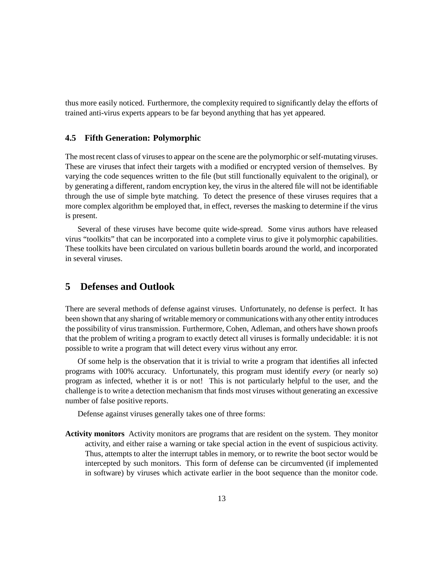thus more easily noticed. Furthermore, the complexity required to significantly delay the efforts of trained anti-virus experts appears to be far beyond anything that has yet appeared.

#### **4.5 Fifth Generation: Polymorphic**

The most recent class of viruses to appear on the scene are the polymorphic or self-mutating viruses. These are viruses that infect their targets with a modified or encrypted version of themselves. By varying the code sequences written to the file (but still functionally equivalent to the original), or by generating a different, random encryption key, the virus in the altered file will not be identifiable through the use of simple byte matching. To detect the presence of these viruses requires that a more complex algorithm be employed that, in effect, reverses the masking to determine if the virus is present.

Several of these viruses have become quite wide-spread. Some virus authors have released virus "toolkits" that can be incorporated into a complete virus to give it polymorphic capabilities. These toolkits have been circulated on various bulletin boards around the world, and incorporated in several viruses.

## **5 Defenses and Outlook**

There are several methods of defense against viruses. Unfortunately, no defense is perfect. It has been shown that any sharing of writable memory or communications with any other entity introduces the possibility of virus transmission. Furthermore, Cohen, Adleman, and others have shown proofs that the problem of writing a program to exactly detect all viruses is formally undecidable: it is not possible to write a program that will detect every virus without any error.

Of some help is the observation that it is trivial to write a program that identifies all infected programs with 100% accuracy. Unfortunately, this program must identify *every* (or nearly so) program as infected, whether it is or not! This is not particularly helpful to the user, and the challenge is to write a detection mechanism that finds most viruses without generating an excessive number of false positive reports.

Defense against viruses generally takes one of three forms:

**Activity monitors** Activity monitors are programs that are resident on the system. They monitor activity, and either raise a warning or take special action in the event of suspicious activity. Thus, attempts to alter the interrupt tables in memory, or to rewrite the boot sector would be intercepted by such monitors. This form of defense can be circumvented (if implemented in software) by viruses which activate earlier in the boot sequence than the monitor code.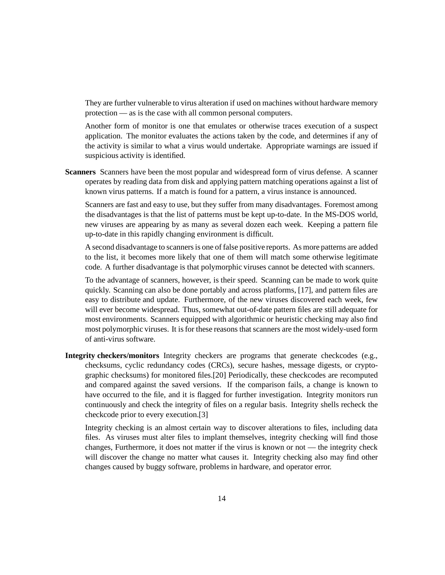They are further vulnerable to virus alteration if used on machines without hardware memory protection — as is the case with all common personal computers.

Another form of monitor is one that emulates or otherwise traces execution of a suspect application. The monitor evaluates the actions taken by the code, and determines if any of the activity is similar to what a virus would undertake. Appropriate warnings are issued if suspicious activity is identified.

**Scanners** Scanners have been the most popular and widespread form of virus defense. A scanner operates by reading data from disk and applying pattern matching operations against a list of known virus patterns. If a match is found for a pattern, a virus instance is announced.

Scanners are fast and easy to use, but they suffer from many disadvantages. Foremost among the disadvantages is that the list of patterns must be kept up-to-date. In the MS-DOS world, new viruses are appearing by as many as several dozen each week. Keeping a pattern file up-to-date in this rapidly changing environment is difficult.

A second disadvantage to scannersis one of false positive reports. As more patterns are added to the list, it becomes more likely that one of them will match some otherwise legitimate code. A further disadvantage is that polymorphic viruses cannot be detected with scanners.

To the advantage of scanners, however, is their speed. Scanning can be made to work quite quickly. Scanning can also be done portably and across platforms, [17], and pattern files are easy to distribute and update. Furthermore, of the new viruses discovered each week, few will ever become widespread. Thus, somewhat out-of-date pattern files are still adequate for most environments. Scanners equipped with algorithmic or heuristic checking may also find most polymorphic viruses. It isfor these reasons that scanners are the most widely-used form of anti-virus software.

**Integrity checkers/monitors** Integrity checkers are programs that generate checkcodes (e.g., checksums, cyclic redundancy codes (CRCs), secure hashes, message digests, or cryptographic checksums) for monitored files.[20] Periodically, these checkcodes are recomputed and compared against the saved versions. If the comparison fails, a change is known to have occurred to the file, and it is flagged for further investigation. Integrity monitors run continuously and check the integrity of files on a regular basis. Integrity shells recheck the checkcode prior to every execution.[3]

Integrity checking is an almost certain way to discover alterations to files, including data files. As viruses must alter files to implant themselves, integrity checking will find those changes, Furthermore, it does not matter if the virus is known or not — the integrity check will discover the change no matter what causes it. Integrity checking also may find other changes caused by buggy software, problems in hardware, and operator error.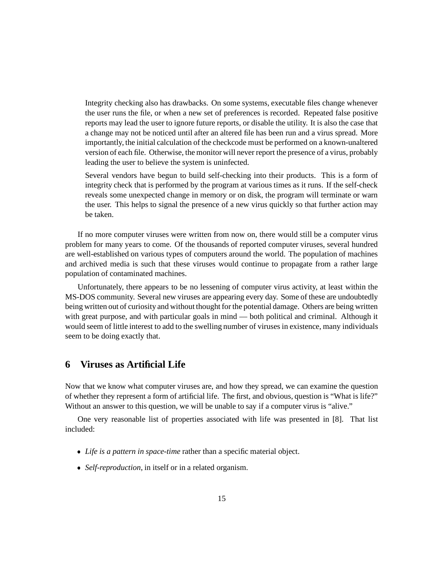Integrity checking also has drawbacks. On some systems, executable files change whenever the user runs the file, or when a new set of preferences is recorded. Repeated false positive reports may lead the user to ignore future reports, or disable the utility. It is also the case that a change may not be noticed until after an altered file has been run and a virus spread. More importantly, the initial calculation of the checkcode must be performed on a known-unaltered version of each file. Otherwise, the monitor will never report the presence of a virus, probably leading the user to believe the system is uninfected.

Several vendors have begun to build self-checking into their products. This is a form of integrity check that is performed by the program at various times as it runs. If the self-check reveals some unexpected change in memory or on disk, the program will terminate or warn the user. This helps to signal the presence of a new virus quickly so that further action may be taken.

If no more computer viruses were written from now on, there would still be a computer virus problem for many years to come. Of the thousands of reported computer viruses, several hundred are well-established on various types of computers around the world. The population of machines and archived media is such that these viruses would continue to propagate from a rather large population of contaminated machines.

Unfortunately, there appears to be no lessening of computer virus activity, at least within the MS-DOS community. Several new viruses are appearing every day. Some of these are undoubtedly being written out of curiosity and without thought for the potential damage. Others are being written with great purpose, and with particular goals in mind — both political and criminal. Although it would seem of little interest to add to the swelling number of viruses in existence, many individuals seem to be doing exactly that.

## **6 Viruses as Artificial Life**

Now that we know what computer viruses are, and how they spread, we can examine the question of whether they represent a form of artificial life. The first, and obvious, question is "What is life?" Without an answer to this question, we will be unable to say if a computer virus is "alive."

One very reasonable list of properties associated with life was presented in [8]. That list included:

- *Life is a pattern in space-time* rather than a specific material object.
- *Self-reproduction*, in itself or in a related organism.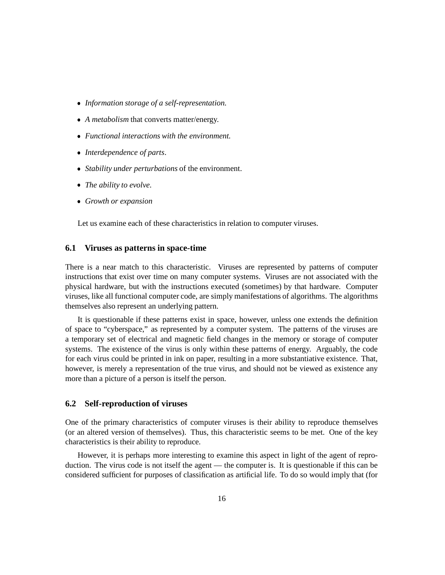- *Information storage of a self-representation.*
- *A metabolism* that converts matter/energy.
- *Functional interactions with the environment.*
- *Interdependence of parts*.
- *Stability under perturbations* of the environment.
- *The ability to evolve*.
- *Growth or expansion*

Let us examine each of these characteristics in relation to computer viruses.

#### **6.1 Viruses as patterns in space-time**

There is a near match to this characteristic. Viruses are represented by patterns of computer instructions that exist over time on many computer systems. Viruses are not associated with the physical hardware, but with the instructions executed (sometimes) by that hardware. Computer viruses, like all functional computer code, are simply manifestations of algorithms. The algorithms themselves also represent an underlying pattern.

It is questionable if these patterns exist in space, however, unless one extends the definition of space to "cyberspace," as represented by a computer system. The patterns of the viruses are a temporary set of electrical and magnetic field changes in the memory or storage of computer systems. The existence of the virus is only within these patterns of energy. Arguably, the code for each virus could be printed in ink on paper, resulting in a more substantiative existence. That, however, is merely a representation of the true virus, and should not be viewed as existence any more than a picture of a person is itself the person.

## **6.2 Self-reproduction of viruses**

One of the primary characteristics of computer viruses is their ability to reproduce themselves (or an altered version of themselves). Thus, this characteristic seems to be met. One of the key characteristics is their ability to reproduce.

However, it is perhaps more interesting to examine this aspect in light of the agent of reproduction. The virus code is not itself the agent — the computer is. It is questionable if this can be considered sufficient for purposes of classification as artificial life. To do so would imply that (for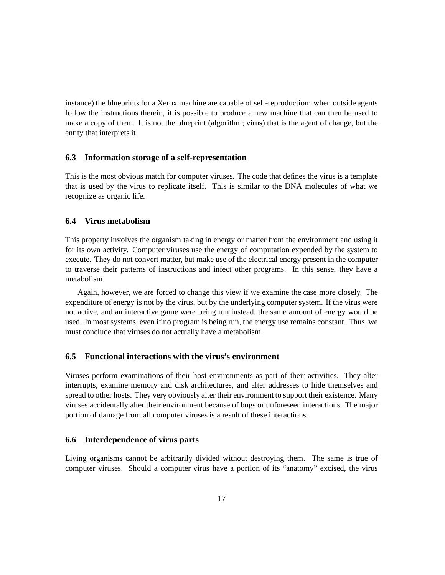instance) the blueprints for a Xerox machine are capable of self-reproduction: when outside agents follow the instructions therein, it is possible to produce a new machine that can then be used to make a copy of them. It is not the blueprint (algorithm; virus) that is the agent of change, but the entity that interprets it.

## **6.3 Information storage of a self-representation**

This is the most obvious match for computer viruses. The code that defines the virus is a template that is used by the virus to replicate itself. This is similar to the DNA molecules of what we recognize as organic life.

## **6.4 Virus metabolism**

This property involves the organism taking in energy or matter from the environment and using it for its own activity. Computer viruses use the energy of computation expended by the system to execute. They do not convert matter, but make use of the electrical energy present in the computer to traverse their patterns of instructions and infect other programs. In this sense, they have a metabolism.

Again, however, we are forced to change this view if we examine the case more closely. The expenditure of energy is not by the virus, but by the underlying computer system. If the virus were not active, and an interactive game were being run instead, the same amount of energy would be used. In most systems, even if no program is being run, the energy use remains constant. Thus, we must conclude that viruses do not actually have a metabolism.

## **6.5 Functional interactions with the virus's environment**

Viruses perform examinations of their host environments as part of their activities. They alter interrupts, examine memory and disk architectures, and alter addresses to hide themselves and spread to other hosts. They very obviously alter their environment to support their existence. Many viruses accidentally alter their environment because of bugs or unforeseen interactions. The major portion of damage from all computer viruses is a result of these interactions.

## **6.6 Interdependence of virus parts**

Living organisms cannot be arbitrarily divided without destroying them. The same is true of computer viruses. Should a computer virus have a portion of its "anatomy" excised, the virus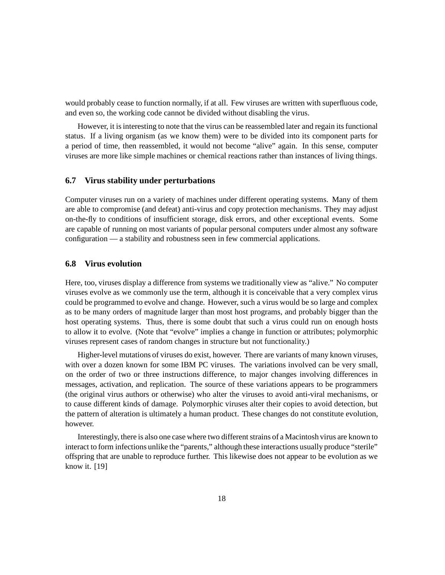would probably cease to function normally, if at all. Few viruses are written with superfluous code, and even so, the working code cannot be divided without disabling the virus.

However, it is interesting to note that the virus can be reassembled later and regain its functional status. If a living organism (as we know them) were to be divided into its component parts for a period of time, then reassembled, it would not become "alive" again. In this sense, computer viruses are more like simple machines or chemical reactions rather than instances of living things.

## **6.7 Virus stability under perturbations**

Computer viruses run on a variety of machines under different operating systems. Many of them are able to compromise (and defeat) anti-virus and copy protection mechanisms. They may adjust on-the-fly to conditions of insufficient storage, disk errors, and other exceptional events. Some are capable of running on most variants of popular personal computers under almost any software configuration — a stability and robustness seen in few commercial applications.

## **6.8 Virus evolution**

Here, too, viruses display a difference from systems we traditionally view as "alive." No computer viruses evolve as we commonly use the term, although it is conceivable that a very complex virus could be programmed to evolve and change. However, such a virus would be so large and complex as to be many orders of magnitude larger than most host programs, and probably bigger than the host operating systems. Thus, there is some doubt that such a virus could run on enough hosts to allow it to evolve. (Note that "evolve" implies a change in function or attributes; polymorphic viruses represent cases of random changes in structure but not functionality.)

Higher-level mutations of viruses do exist, however. There are variants of many known viruses, with over a dozen known for some IBM PC viruses. The variations involved can be very small, on the order of two or three instructions difference, to major changes involving differences in messages, activation, and replication. The source of these variations appears to be programmers (the original virus authors or otherwise) who alter the viruses to avoid anti-viral mechanisms, or to cause different kinds of damage. Polymorphic viruses alter their copies to avoid detection, but the pattern of alteration is ultimately a human product. These changes do not constitute evolution, however.

Interestingly, there is also one case where two different strains of a Macintosh virus are known to interact to form infections unlike the "parents," although these interactions usually produce "sterile" offspring that are unable to reproduce further. This likewise does not appear to be evolution as we know it. [19]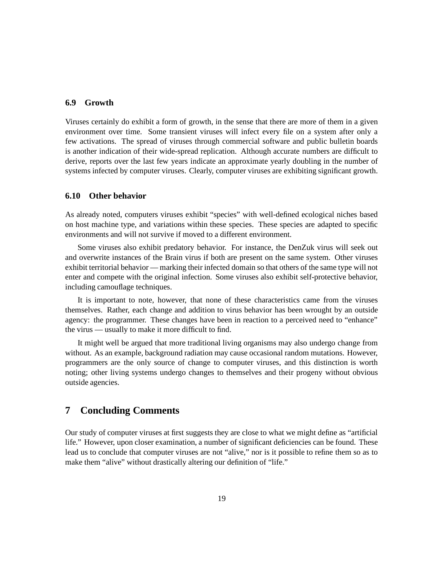## **6.9 Growth**

Viruses certainly do exhibit a form of growth, in the sense that there are more of them in a given environment over time. Some transient viruses will infect every file on a system after only a few activations. The spread of viruses through commercial software and public bulletin boards is another indication of their wide-spread replication. Although accurate numbers are difficult to derive, reports over the last few years indicate an approximate yearly doubling in the number of systems infected by computer viruses. Clearly, computer viruses are exhibiting significant growth.

## **6.10 Other behavior**

As already noted, computers viruses exhibit "species" with well-defined ecological niches based on host machine type, and variations within these species. These species are adapted to specific environments and will not survive if moved to a different environment.

Some viruses also exhibit predatory behavior. For instance, the DenZuk virus will seek out and overwrite instances of the Brain virus if both are present on the same system. Other viruses exhibit territorial behavior — marking their infected domain so that others of the same type will not enter and compete with the original infection. Some viruses also exhibit self-protective behavior, including camouflage techniques.

It is important to note, however, that none of these characteristics came from the viruses themselves. Rather, each change and addition to virus behavior has been wrought by an outside agency: the programmer. These changes have been in reaction to a perceived need to "enhance" the virus — usually to make it more difficult to find.

It might well be argued that more traditional living organisms may also undergo change from without. As an example, background radiation may cause occasional random mutations. However, programmers are the only source of change to computer viruses, and this distinction is worth noting; other living systems undergo changes to themselves and their progeny without obvious outside agencies.

## **7 Concluding Comments**

Our study of computer viruses at first suggests they are close to what we might define as "artificial life." However, upon closer examination, a number of significant deficiencies can be found. These lead us to conclude that computer viruses are not "alive," nor is it possible to refine them so as to make them "alive" without drastically altering our definition of "life."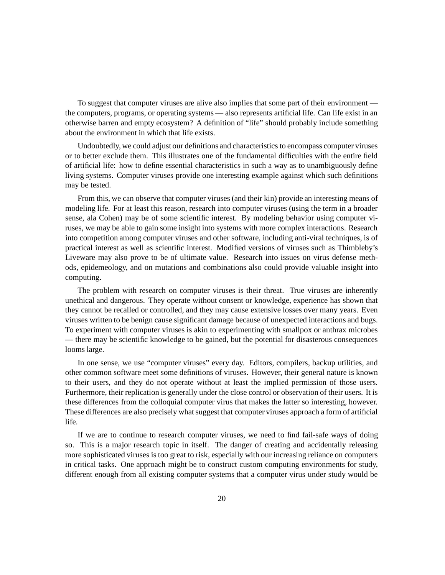To suggest that computer viruses are alive also implies that some part of their environment the computers, programs, or operating systems — also represents artificial life. Can life exist in an otherwise barren and empty ecosystem? A definition of "life" should probably include something about the environment in which that life exists.

Undoubtedly, we could adjust our definitions and characteristics to encompass computer viruses or to better exclude them. This illustrates one of the fundamental difficulties with the entire field of artificial life: how to define essential characteristics in such a way as to unambiguously define living systems. Computer viruses provide one interesting example against which such definitions may be tested.

From this, we can observe that computer viruses (and their kin) provide an interesting means of modeling life. For at least this reason, research into computer viruses (using the term in a broader sense, ala Cohen) may be of some scientific interest. By modeling behavior using computer viruses, we may be able to gain some insight into systems with more complex interactions. Research into competition among computer viruses and other software, including anti-viral techniques, is of practical interest as well as scientific interest. Modified versions of viruses such as Thimbleby's Liveware may also prove to be of ultimate value. Research into issues on virus defense methods, epidemeology, and on mutations and combinations also could provide valuable insight into computing.

The problem with research on computer viruses is their threat. True viruses are inherently unethical and dangerous. They operate without consent or knowledge, experience has shown that they cannot be recalled or controlled, and they may cause extensive losses over many years. Even viruses written to be benign cause significant damage because of unexpected interactions and bugs. To experiment with computer viruses is akin to experimenting with smallpox or anthrax microbes — there may be scientific knowledge to be gained, but the potential for disasterous consequences looms large.

In one sense, we use "computer viruses" every day. Editors, compilers, backup utilities, and other common software meet some definitions of viruses. However, their general nature is known to their users, and they do not operate without at least the implied permission of those users. Furthermore, their replication is generally under the close control or observation of their users. It is these differences from the colloquial computer virus that makes the latter so interesting, however. These differences are also precisely what suggest that computer viruses approach a form of artificial life.

If we are to continue to research computer viruses, we need to find fail-safe ways of doing so. This is a major research topic in itself. The danger of creating and accidentally releasing more sophisticated viruses is too great to risk, especially with our increasing reliance on computers in critical tasks. One approach might be to construct custom computing environments for study, different enough from all existing computer systems that a computer virus under study would be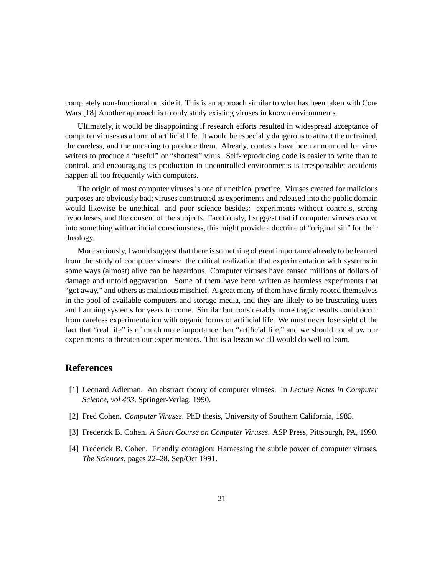completely non-functional outside it. This is an approach similar to what has been taken with Core Wars.[18] Another approach is to only study existing viruses in known environments.

Ultimately, it would be disappointing if research efforts resulted in widespread acceptance of computer viruses as a form of artificial life. It would be especially dangerousto attract the untrained, the careless, and the uncaring to produce them. Already, contests have been announced for virus writers to produce a "useful" or "shortest" virus. Self-reproducing code is easier to write than to control, and encouraging its production in uncontrolled environments is irresponsible; accidents happen all too frequently with computers.

The origin of most computer viruses is one of unethical practice. Viruses created for malicious purposes are obviously bad; viruses constructed as experiments and released into the public domain would likewise be unethical, and poor science besides: experiments without controls, strong hypotheses, and the consent of the subjects. Facetiously, I suggest that if computer viruses evolve into something with artificial consciousness, this might provide a doctrine of "original sin" for their theology.

More seriously, I would suggest that there issomething of great importance already to be learned from the study of computer viruses: the critical realization that experimentation with systems in some ways (almost) alive can be hazardous. Computer viruses have caused millions of dollars of damage and untold aggravation. Some of them have been written as harmless experiments that "got away," and others as malicious mischief. A great many of them have firmly rooted themselves in the pool of available computers and storage media, and they are likely to be frustrating users and harming systems for years to come. Similar but considerably more tragic results could occur from careless experimentation with organic forms of artificial life. We must never lose sight of the fact that "real life" is of much more importance than "artificial life," and we should not allow our experiments to threaten our experimenters. This is a lesson we all would do well to learn.

## **References**

- [1] Leonard Adleman. An abstract theory of computer viruses. In *Lecture Notes in Computer Science, vol 403*. Springer-Verlag, 1990.
- [2] Fred Cohen. *Computer Viruses*. PhD thesis, University of Southern California, 1985.
- [3] Frederick B. Cohen. *A Short Course on Computer Viruses*. ASP Press, Pittsburgh, PA, 1990.
- [4] Frederick B. Cohen. Friendly contagion: Harnessing the subtle power of computer viruses. *The Sciences*, pages 22–28, Sep/Oct 1991.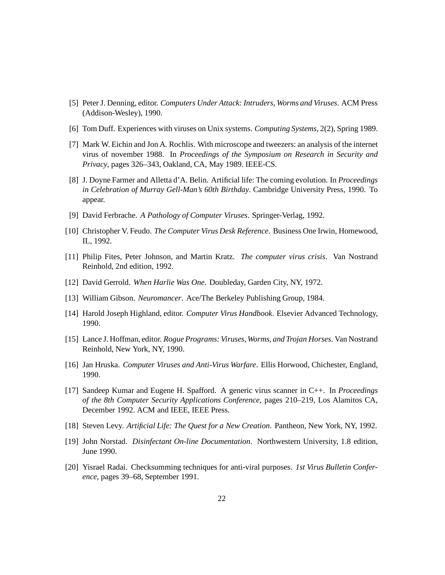- [5] Peter J. Denning, editor. *Computers Under Attack: Intruders, Worms and Viruses*. ACM Press (Addison-Wesley), 1990.
- [6] Tom Duff. Experiences with viruses on Unix systems. *Computing Systems*, 2(2), Spring 1989.
- [7] Mark W. Eichin and Jon A. Rochlis. With microscope and tweezers: an analysis of the internet virus of november 1988. In *Proceedings of the Symposium on Research in Security and Privacy*, pages 326–343, Oakland, CA, May 1989. IEEE-CS.
- [8] J. Doyne Farmer and Alletta d'A. Belin. Artificial life: The coming evolution. In *Proceedings in Celebration of Murray Gell-Man's 60th Birthday*. Cambridge University Press, 1990. To appear.
- [9] David Ferbrache. *A Pathology of Computer Viruses*. Springer-Verlag, 1992.
- [10] Christopher V. Feudo. *The Computer Virus Desk Reference*. Business One Irwin, Homewood, IL, 1992.
- [11] Philip Fites, Peter Johnson, and Martin Kratz. *The computer virus crisis*. Van Nostrand Reinhold, 2nd edition, 1992.
- [12] David Gerrold. *When Harlie Was One*. Doubleday, Garden City, NY, 1972.
- [13] William Gibson. *Neuromancer*. Ace/The Berkeley Publishing Group, 1984.
- [14] Harold Joseph Highland, editor. *Computer Virus Handbook*. Elsevier Advanced Technology, 1990.
- [15] Lance J. Hoffman, editor. *Rogue Programs: Viruses, Worms, and Trojan Horses*. Van Nostrand Reinhold, New York, NY, 1990.
- [16] Jan Hruska. *Computer Viruses and Anti-Virus Warfare*. Ellis Horwood, Chichester, England, 1990.
- [17] Sandeep Kumar and Eugene H. Spafford. A generic virus scanner in C++. In *Proceedings of the 8th Computer Security Applications Conference*, pages 210–219, Los Alamitos CA, December 1992. ACM and IEEE, IEEE Press.
- [18] Steven Levy. *Artificial Life: The Quest for a New Creation*. Pantheon, New York, NY, 1992.
- [19] John Norstad. *Disinfectant On-line Documentation*. Northwestern University, 1.8 edition, June 1990.
- [20] Yisrael Radai. Checksumming techniques for anti-viral purposes. *1st Virus Bulletin Conference*, pages 39–68, September 1991.